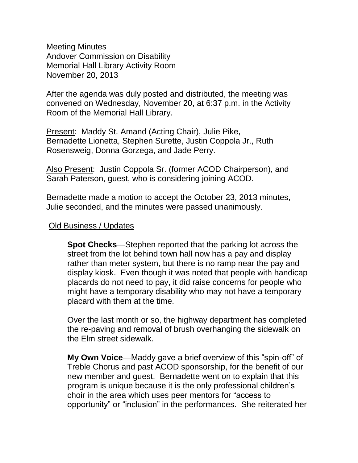Meeting Minutes Andover Commission on Disability Memorial Hall Library Activity Room November 20, 2013

After the agenda was duly posted and distributed, the meeting was convened on Wednesday, November 20, at 6:37 p.m. in the Activity Room of the Memorial Hall Library.

Present: Maddy St. Amand (Acting Chair), Julie Pike, Bernadette Lionetta, Stephen Surette, Justin Coppola Jr., Ruth Rosensweig, Donna Gorzega, and Jade Perry.

Also Present: Justin Coppola Sr. (former ACOD Chairperson), and Sarah Paterson, guest, who is considering joining ACOD.

Bernadette made a motion to accept the October 23, 2013 minutes, Julie seconded, and the minutes were passed unanimously.

#### Old Business / Updates

**Spot Checks**—Stephen reported that the parking lot across the street from the lot behind town hall now has a pay and display rather than meter system, but there is no ramp near the pay and display kiosk. Even though it was noted that people with handicap placards do not need to pay, it did raise concerns for people who might have a temporary disability who may not have a temporary placard with them at the time.

Over the last month or so, the highway department has completed the re-paving and removal of brush overhanging the sidewalk on the Elm street sidewalk.

**My Own Voice**—Maddy gave a brief overview of this "spin-off" of Treble Chorus and past ACOD sponsorship, for the benefit of our new member and guest. Bernadette went on to explain that this program is unique because it is the only professional children's choir in the area which uses peer mentors for "access to opportunity" or "inclusion" in the performances. She reiterated her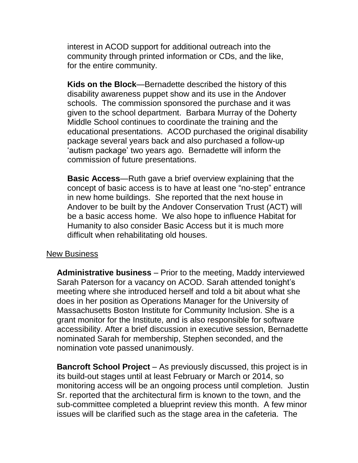interest in ACOD support for additional outreach into the community through printed information or CDs, and the like, for the entire community.

**Kids on the Block**—Bernadette described the history of this disability awareness puppet show and its use in the Andover schools. The commission sponsored the purchase and it was given to the school department. Barbara Murray of the Doherty Middle School continues to coordinate the training and the educational presentations. ACOD purchased the original disability package several years back and also purchased a follow-up 'autism package' two years ago. Bernadette will inform the commission of future presentations.

**Basic Access**—Ruth gave a brief overview explaining that the concept of basic access is to have at least one "no-step" entrance in new home buildings. She reported that the next house in Andover to be built by the Andover Conservation Trust (ACT) will be a basic access home. We also hope to influence Habitat for Humanity to also consider Basic Access but it is much more difficult when rehabilitating old houses.

#### New Business

**Administrative business** – Prior to the meeting, Maddy interviewed Sarah Paterson for a vacancy on ACOD. Sarah attended tonight's meeting where she introduced herself and told a bit about what she does in her position as Operations Manager for the University of Massachusetts Boston Institute for Community Inclusion. She is a grant monitor for the Institute, and is also responsible for software accessibility. After a brief discussion in executive session, Bernadette nominated Sarah for membership, Stephen seconded, and the nomination vote passed unanimously.

**Bancroft School Project** – As previously discussed, this project is in its build-out stages until at least February or March or 2014, so monitoring access will be an ongoing process until completion. Justin Sr. reported that the architectural firm is known to the town, and the sub-committee completed a blueprint review this month. A few minor issues will be clarified such as the stage area in the cafeteria. The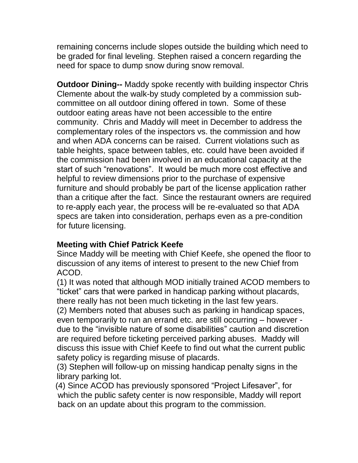remaining concerns include slopes outside the building which need to be graded for final leveling. Stephen raised a concern regarding the need for space to dump snow during snow removal.

**Outdoor Dining--** Maddy spoke recently with building inspector Chris Clemente about the walk-by study completed by a commission subcommittee on all outdoor dining offered in town. Some of these outdoor eating areas have not been accessible to the entire community. Chris and Maddy will meet in December to address the complementary roles of the inspectors vs. the commission and how and when ADA concerns can be raised. Current violations such as table heights, space between tables, etc. could have been avoided if the commission had been involved in an educational capacity at the start of such "renovations". It would be much more cost effective and helpful to review dimensions prior to the purchase of expensive furniture and should probably be part of the license application rather than a critique after the fact. Since the restaurant owners are required to re-apply each year, the process will be re-evaluated so that ADA specs are taken into consideration, perhaps even as a pre-condition for future licensing.

# **Meeting with Chief Patrick Keefe**

Since Maddy will be meeting with Chief Keefe, she opened the floor to discussion of any items of interest to present to the new Chief from ACOD.

(1) It was noted that although MOD initially trained ACOD members to "ticket" cars that were parked in handicap parking without placards, there really has not been much ticketing in the last few years.

(2) Members noted that abuses such as parking in handicap spaces, even temporarily to run an errand etc. are still occurring – however due to the "invisible nature of some disabilities" caution and discretion are required before ticketing perceived parking abuses. Maddy will discuss this issue with Chief Keefe to find out what the current public safety policy is regarding misuse of placards.

(3) Stephen will follow-up on missing handicap penalty signs in the library parking lot.

 (4) Since ACOD has previously sponsored "Project Lifesaver", for which the public safety center is now responsible, Maddy will report back on an update about this program to the commission.